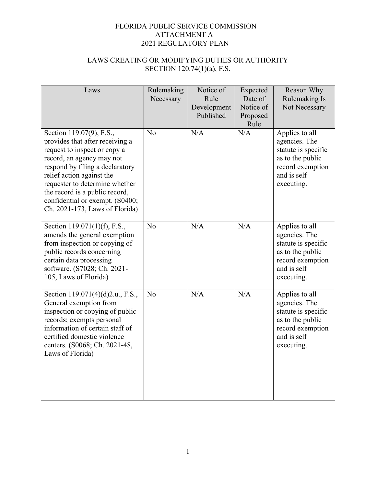| Laws                                                                                                                                                                                                                                                                                                                              | Rulemaking<br>Necessary | Notice of<br>Rule<br>Development<br>Published | Expected<br>Date of<br>Notice of<br>Proposed<br>Rule | Reason Why<br>Rulemaking Is<br>Not Necessary                                                                                |
|-----------------------------------------------------------------------------------------------------------------------------------------------------------------------------------------------------------------------------------------------------------------------------------------------------------------------------------|-------------------------|-----------------------------------------------|------------------------------------------------------|-----------------------------------------------------------------------------------------------------------------------------|
| Section 119.07(9), F.S.,<br>provides that after receiving a<br>request to inspect or copy a<br>record, an agency may not<br>respond by filing a declaratory<br>relief action against the<br>requester to determine whether<br>the record is a public record,<br>confidential or exempt. (S0400;<br>Ch. 2021-173, Laws of Florida) | N <sub>o</sub>          | N/A                                           | N/A                                                  | Applies to all<br>agencies. The<br>statute is specific<br>as to the public<br>record exemption<br>and is self<br>executing. |
| Section 119.071(1)(f), F.S.,<br>amends the general exemption<br>from inspection or copying of<br>public records concerning<br>certain data processing<br>software. (S7028; Ch. 2021-<br>105, Laws of Florida)                                                                                                                     | No                      | N/A                                           | N/A                                                  | Applies to all<br>agencies. The<br>statute is specific<br>as to the public<br>record exemption<br>and is self<br>executing. |
| Section 119.071(4)(d)2.u., F.S.,<br>General exemption from<br>inspection or copying of public<br>records; exempts personal<br>information of certain staff of<br>certified domestic violence<br>centers. (S0068; Ch. 2021-48,<br>Laws of Florida)                                                                                 | N <sub>o</sub>          | N/A                                           | N/A                                                  | Applies to all<br>agencies. The<br>statute is specific<br>as to the public<br>record exemption<br>and is self<br>executing. |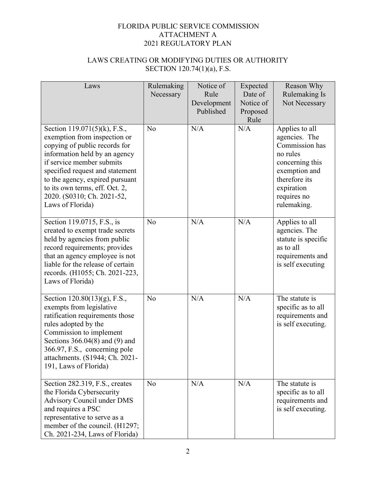| Laws                                                                                                                                                                                                                                                                                                                  | Rulemaking<br>Necessary | Notice of<br>Rule<br>Development<br>Published | Expected<br>Date of<br>Notice of<br>Proposed<br>Rule | Reason Why<br>Rulemaking Is<br>Not Necessary                                                                                                                   |
|-----------------------------------------------------------------------------------------------------------------------------------------------------------------------------------------------------------------------------------------------------------------------------------------------------------------------|-------------------------|-----------------------------------------------|------------------------------------------------------|----------------------------------------------------------------------------------------------------------------------------------------------------------------|
| Section 119.071(5)(k), F.S.,<br>exemption from inspection or<br>copying of public records for<br>information held by an agency<br>if service member submits<br>specified request and statement<br>to the agency, expired pursuant<br>to its own terms, eff. Oct. 2,<br>2020. (S0310; Ch. 2021-52,<br>Laws of Florida) | N <sub>o</sub>          | N/A                                           | N/A                                                  | Applies to all<br>agencies. The<br>Commission has<br>no rules<br>concerning this<br>exemption and<br>therefore its<br>expiration<br>requires no<br>rulemaking. |
| Section 119.0715, F.S., is<br>created to exempt trade secrets<br>held by agencies from public<br>record requirements; provides<br>that an agency employee is not<br>liable for the release of certain<br>records. (H1055; Ch. 2021-223,<br>Laws of Florida)                                                           | No                      | N/A                                           | N/A                                                  | Applies to all<br>agencies. The<br>statute is specific<br>as to all<br>requirements and<br>is self executing                                                   |
| Section 120.80(13)(g), F.S.,<br>exempts from legislative<br>ratification requirements those<br>rules adopted by the<br>Commission to implement<br>Sections $366.04(8)$ and (9) and<br>366.97, F.S., concerning pole<br>attachments. (S1944; Ch. 2021-<br>191, Laws of Florida)                                        | No                      | N/A                                           | N/A                                                  | The statute is<br>specific as to all<br>requirements and<br>is self executing.                                                                                 |
| Section 282.319, F.S., creates<br>the Florida Cybersecurity<br><b>Advisory Council under DMS</b><br>and requires a PSC<br>representative to serve as a<br>member of the council. (H1297;<br>Ch. 2021-234, Laws of Florida)                                                                                            | No                      | N/A                                           | N/A                                                  | The statute is<br>specific as to all<br>requirements and<br>is self executing.                                                                                 |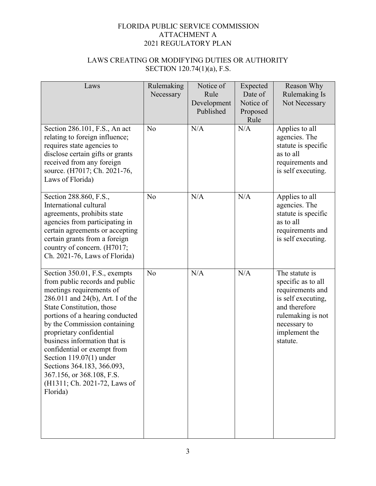| Laws                                                                                                                                                                                                                                                                                                                                                                                                                                                           | Rulemaking<br>Necessary | Notice of<br>Rule<br>Development<br>Published | Expected<br>Date of<br>Notice of<br>Proposed<br>Rule | Reason Why<br>Rulemaking Is<br>Not Necessary                                                                                                                      |
|----------------------------------------------------------------------------------------------------------------------------------------------------------------------------------------------------------------------------------------------------------------------------------------------------------------------------------------------------------------------------------------------------------------------------------------------------------------|-------------------------|-----------------------------------------------|------------------------------------------------------|-------------------------------------------------------------------------------------------------------------------------------------------------------------------|
| Section 286.101, F.S., An act<br>relating to foreign influence;<br>requires state agencies to<br>disclose certain gifts or grants<br>received from any foreign<br>source. (H7017; Ch. 2021-76,<br>Laws of Florida)                                                                                                                                                                                                                                             | N <sub>o</sub>          | N/A                                           | N/A                                                  | Applies to all<br>agencies. The<br>statute is specific<br>as to all<br>requirements and<br>is self executing.                                                     |
| Section 288.860, F.S.,<br>International cultural<br>agreements, prohibits state<br>agencies from participating in<br>certain agreements or accepting<br>certain grants from a foreign<br>country of concern. (H7017;<br>Ch. 2021-76, Laws of Florida)                                                                                                                                                                                                          | No                      | N/A                                           | N/A                                                  | Applies to all<br>agencies. The<br>statute is specific<br>as to all<br>requirements and<br>is self executing.                                                     |
| Section 350.01, F.S., exempts<br>from public records and public<br>meetings requirements of<br>286.011 and 24(b), Art. I of the<br>State Constitution, those<br>portions of a hearing conducted<br>by the Commission containing<br>proprietary confidential<br>business information that is<br>confidential or exempt from<br>Section $119.07(1)$ under<br>Sections 364.183, 366.093,<br>367.156, or 368.108, F.S.<br>(H1311; Ch. 2021-72, Laws of<br>Florida) | No                      | N/A                                           | N/A                                                  | The statute is<br>specific as to all<br>requirements and<br>is self executing,<br>and therefore<br>rulemaking is not<br>necessary to<br>implement the<br>statute. |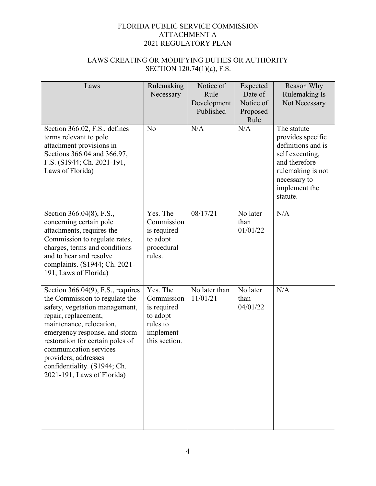| Laws                                                                                                                                                                                                                                                                                                                                              | Rulemaking<br>Necessary                                                                     | Notice of<br>Rule<br>Development<br>Published | Expected<br>Date of<br>Notice of<br>Proposed<br>Rule | Reason Why<br>Rulemaking Is<br>Not Necessary                                                                                                                 |
|---------------------------------------------------------------------------------------------------------------------------------------------------------------------------------------------------------------------------------------------------------------------------------------------------------------------------------------------------|---------------------------------------------------------------------------------------------|-----------------------------------------------|------------------------------------------------------|--------------------------------------------------------------------------------------------------------------------------------------------------------------|
| Section 366.02, F.S., defines<br>terms relevant to pole<br>attachment provisions in<br>Sections 366.04 and 366.97,<br>F.S. (S1944; Ch. 2021-191,<br>Laws of Florida)                                                                                                                                                                              | N <sub>o</sub>                                                                              | N/A                                           | N/A                                                  | The statute<br>provides specific<br>definitions and is<br>self executing,<br>and therefore<br>rulemaking is not<br>necessary to<br>implement the<br>statute. |
| Section 366.04(8), F.S.,<br>concerning certain pole<br>attachments, requires the<br>Commission to regulate rates,<br>charges, terms and conditions<br>and to hear and resolve<br>complaints. (S1944; Ch. 2021-<br>191, Laws of Florida)                                                                                                           | Yes. The<br>Commission<br>is required<br>to adopt<br>procedural<br>rules.                   | 08/17/21                                      | No later<br>than<br>01/01/22                         | N/A                                                                                                                                                          |
| Section $366.04(9)$ , F.S., requires<br>the Commission to regulate the<br>safety, vegetation management,<br>repair, replacement,<br>maintenance, relocation,<br>emergency response, and storm<br>restoration for certain poles of<br>communication services<br>providers; addresses<br>confidentiality. (S1944; Ch.<br>2021-191, Laws of Florida) | Yes. The<br>Commission<br>is required<br>to adopt<br>rules to<br>implement<br>this section. | No later than<br>11/01/21                     | No later<br>than<br>04/01/22                         | N/A                                                                                                                                                          |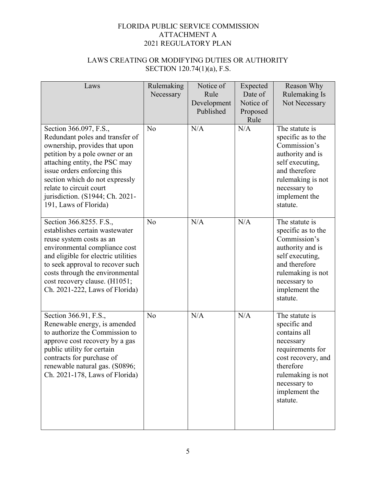| Laws                                                                                                                                                                                                                                                                                                                  | Rulemaking<br>Necessary | Notice of<br>Rule<br>Development<br>Published | Expected<br>Date of<br>Notice of<br>Proposed<br>Rule | Reason Why<br>Rulemaking Is<br>Not Necessary                                                                                                                                         |
|-----------------------------------------------------------------------------------------------------------------------------------------------------------------------------------------------------------------------------------------------------------------------------------------------------------------------|-------------------------|-----------------------------------------------|------------------------------------------------------|--------------------------------------------------------------------------------------------------------------------------------------------------------------------------------------|
| Section 366.097, F.S.,<br>Redundant poles and transfer of<br>ownership, provides that upon<br>petition by a pole owner or an<br>attaching entity, the PSC may<br>issue orders enforcing this<br>section which do not expressly<br>relate to circuit court<br>jurisdiction. (S1944; Ch. 2021-<br>191, Laws of Florida) | No                      | N/A                                           | N/A                                                  | The statute is<br>specific as to the<br>Commission's<br>authority and is<br>self executing,<br>and therefore<br>rulemaking is not<br>necessary to<br>implement the<br>statute.       |
| Section 366.8255. F.S.,<br>establishes certain wastewater<br>reuse system costs as an<br>environmental compliance cost<br>and eligible for electric utilities<br>to seek approval to recover such<br>costs through the environmental<br>cost recovery clause. (H1051;<br>Ch. 2021-222, Laws of Florida)               | No                      | N/A                                           | N/A                                                  | The statute is<br>specific as to the<br>Commission's<br>authority and is<br>self executing,<br>and therefore<br>rulemaking is not<br>necessary to<br>implement the<br>statute.       |
| Section 366.91, F.S.,<br>Renewable energy, is amended<br>to authorize the Commission to<br>approve cost recovery by a gas<br>public utility for certain<br>contracts for purchase of<br>renewable natural gas. (S0896;<br>Ch. 2021-178, Laws of Florida)                                                              | No                      | N/A                                           | N/A                                                  | The statute is<br>specific and<br>contains all<br>necessary<br>requirements for<br>cost recovery, and<br>therefore<br>rulemaking is not<br>necessary to<br>implement the<br>statute. |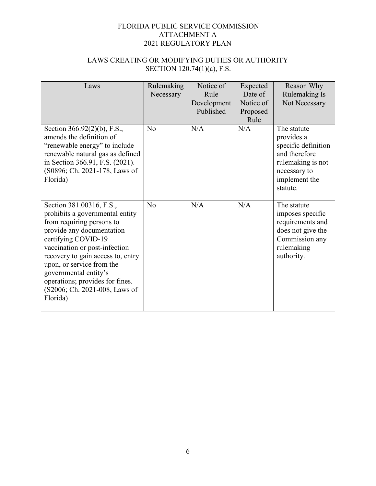| Laws                                                                                                                                                                                                                                                                                                                                                     | Rulemaking<br>Necessary | Notice of<br>Rule<br>Development<br>Published | Expected<br>Date of<br>Notice of | Reason Why<br>Rulemaking Is<br>Not Necessary                                                                                        |
|----------------------------------------------------------------------------------------------------------------------------------------------------------------------------------------------------------------------------------------------------------------------------------------------------------------------------------------------------------|-------------------------|-----------------------------------------------|----------------------------------|-------------------------------------------------------------------------------------------------------------------------------------|
|                                                                                                                                                                                                                                                                                                                                                          |                         |                                               | Proposed<br>Rule                 |                                                                                                                                     |
| Section 366.92(2)(b), F.S.,<br>amends the definition of<br>"renewable energy" to include<br>renewable natural gas as defined<br>in Section 366.91, F.S. (2021).<br>(S0896; Ch. 2021-178, Laws of<br>Florida)                                                                                                                                             | No                      | N/A                                           | N/A                              | The statute<br>provides a<br>specific definition<br>and therefore<br>rulemaking is not<br>necessary to<br>implement the<br>statute. |
| Section 381.00316, F.S.,<br>prohibits a governmental entity<br>from requiring persons to<br>provide any documentation<br>certifying COVID-19<br>vaccination or post-infection<br>recovery to gain access to, entry<br>upon, or service from the<br>governmental entity's<br>operations; provides for fines.<br>(S2006; Ch. 2021-008, Laws of<br>Florida) | No                      | N/A                                           | N/A                              | The statute<br>imposes specific<br>requirements and<br>does not give the<br>Commission any<br>rulemaking<br>authority.              |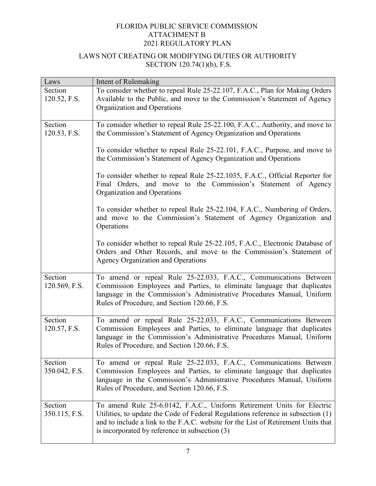| Laws          | Intent of Rulemaking                                                                                                                           |
|---------------|------------------------------------------------------------------------------------------------------------------------------------------------|
| Section       | To consider whether to repeal Rule 25-22.107, F.A.C., Plan for Making Orders                                                                   |
| 120.52, F.S.  | Available to the Public, and move to the Commission's Statement of Agency                                                                      |
|               | Organization and Operations                                                                                                                    |
|               |                                                                                                                                                |
| Section       | To consider whether to repeal Rule 25-22.100, F.A.C., Authority, and move to                                                                   |
| 120.53, F.S.  | the Commission's Statement of Agency Organization and Operations                                                                               |
|               |                                                                                                                                                |
|               | To consider whether to repeal Rule 25-22.101, F.A.C., Purpose, and move to<br>the Commission's Statement of Agency Organization and Operations |
|               |                                                                                                                                                |
|               | To consider whether to repeal Rule 25-22.1035, F.A.C., Official Reporter for                                                                   |
|               | Final Orders, and move to the Commission's Statement of Agency                                                                                 |
|               | Organization and Operations                                                                                                                    |
|               |                                                                                                                                                |
|               | To consider whether to repeal Rule 25-22.104, F.A.C., Numbering of Orders,                                                                     |
|               | and move to the Commission's Statement of Agency Organization and                                                                              |
|               | Operations                                                                                                                                     |
|               | To consider whether to repeal Rule 25-22.105, F.A.C., Electronic Database of                                                                   |
|               | Orders and Other Records, and move to the Commission's Statement of                                                                            |
|               | <b>Agency Organization and Operations</b>                                                                                                      |
|               |                                                                                                                                                |
| Section       | To amend or repeal Rule 25-22.033, F.A.C., Communications Between                                                                              |
| 120.569, F.S. | Commission Employees and Parties, to eliminate language that duplicates                                                                        |
|               | language in the Commission's Administrative Procedures Manual, Uniform                                                                         |
|               | Rules of Procedure, and Section 120.66, F.S.                                                                                                   |
| Section       | To amend or repeal Rule 25-22.033, F.A.C., Communications Between                                                                              |
| 120.57, F.S.  | Commission Employees and Parties, to eliminate language that duplicates                                                                        |
|               | language in the Commission's Administrative Procedures Manual, Uniform                                                                         |
|               | Rules of Procedure, and Section 120.66, F.S.                                                                                                   |
|               |                                                                                                                                                |
| Section       | To amend or repeal Rule 25-22.033, F.A.C., Communications Between                                                                              |
| 350.042, F.S. | Commission Employees and Parties, to eliminate language that duplicates                                                                        |
|               | language in the Commission's Administrative Procedures Manual, Uniform                                                                         |
|               | Rules of Procedure, and Section 120.66, F.S.                                                                                                   |
| Section       | To amend Rule 25-6.0142, F.A.C., Uniform Retirement Units for Electric                                                                         |
| 350.115, F.S. | Utilities, to update the Code of Federal Regulations reference in subsection (1)                                                               |
|               | and to include a link to the F.A.C. website for the List of Retirement Units that                                                              |
|               | is incorporated by reference in subsection (3)                                                                                                 |
|               |                                                                                                                                                |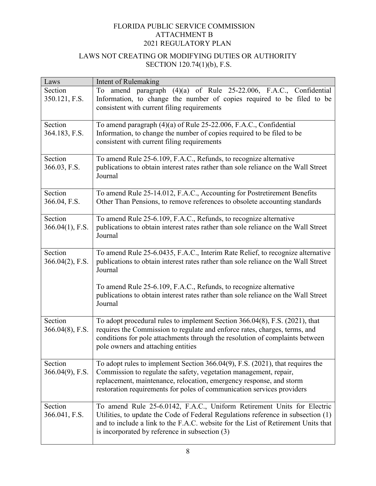| Laws               | Intent of Rulemaking                                                                                                                     |
|--------------------|------------------------------------------------------------------------------------------------------------------------------------------|
| Section            | To amend paragraph (4)(a) of Rule 25-22.006, F.A.C., Confidential                                                                        |
| 350.121, F.S.      | Information, to change the number of copies required to be filed to be                                                                   |
|                    | consistent with current filing requirements                                                                                              |
|                    |                                                                                                                                          |
| Section            | To amend paragraph (4)(a) of Rule 25-22.006, F.A.C., Confidential                                                                        |
| 364.183, F.S.      | Information, to change the number of copies required to be filed to be<br>consistent with current filing requirements                    |
|                    |                                                                                                                                          |
| Section            | To amend Rule 25-6.109, F.A.C., Refunds, to recognize alternative                                                                        |
| 366.03, F.S.       | publications to obtain interest rates rather than sole reliance on the Wall Street                                                       |
|                    | Journal                                                                                                                                  |
|                    |                                                                                                                                          |
| Section            | To amend Rule 25-14.012, F.A.C., Accounting for Postretirement Benefits                                                                  |
| 366.04, F.S.       | Other Than Pensions, to remove references to obsolete accounting standards                                                               |
| Section            | To amend Rule 25-6.109, F.A.C., Refunds, to recognize alternative                                                                        |
| $366.04(1)$ , F.S. | publications to obtain interest rates rather than sole reliance on the Wall Street                                                       |
|                    | Journal                                                                                                                                  |
|                    |                                                                                                                                          |
| Section            | To amend Rule 25-6.0435, F.A.C., Interim Rate Relief, to recognize alternative                                                           |
| $366.04(2)$ , F.S. | publications to obtain interest rates rather than sole reliance on the Wall Street                                                       |
|                    | Journal                                                                                                                                  |
|                    |                                                                                                                                          |
|                    | To amend Rule 25-6.109, F.A.C., Refunds, to recognize alternative                                                                        |
|                    | publications to obtain interest rates rather than sole reliance on the Wall Street<br>Journal                                            |
|                    |                                                                                                                                          |
| Section            | To adopt procedural rules to implement Section 366.04(8), F.S. (2021), that                                                              |
| $366.04(8)$ , F.S. | requires the Commission to regulate and enforce rates, charges, terms, and                                                               |
|                    | conditions for pole attachments through the resolution of complaints between                                                             |
|                    | pole owners and attaching entities                                                                                                       |
|                    |                                                                                                                                          |
| Section            | To adopt rules to implement Section 366.04(9), F.S. (2021), that requires the                                                            |
| 366.04(9), F.S.    | Commission to regulate the safety, vegetation management, repair,<br>replacement, maintenance, relocation, emergency response, and storm |
|                    | restoration requirements for poles of communication services providers                                                                   |
|                    |                                                                                                                                          |
| Section            | To amend Rule 25-6.0142, F.A.C., Uniform Retirement Units for Electric                                                                   |
| 366.041, F.S.      | Utilities, to update the Code of Federal Regulations reference in subsection (1)                                                         |
|                    | and to include a link to the F.A.C. website for the List of Retirement Units that                                                        |
|                    | is incorporated by reference in subsection (3)                                                                                           |
|                    |                                                                                                                                          |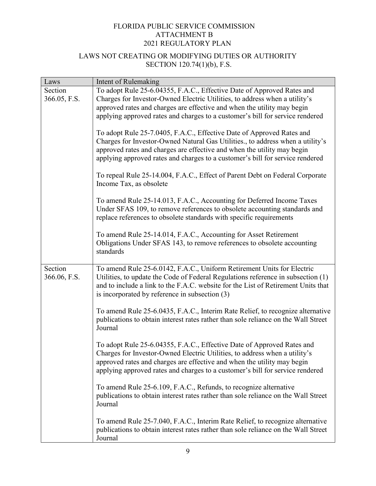| Laws                    | Intent of Rulemaking                                                                                                                                                                                                                                                                                                |
|-------------------------|---------------------------------------------------------------------------------------------------------------------------------------------------------------------------------------------------------------------------------------------------------------------------------------------------------------------|
| Section                 | To adopt Rule 25-6.04355, F.A.C., Effective Date of Approved Rates and                                                                                                                                                                                                                                              |
| 366.05, F.S.            | Charges for Investor-Owned Electric Utilities, to address when a utility's                                                                                                                                                                                                                                          |
|                         | approved rates and charges are effective and when the utility may begin                                                                                                                                                                                                                                             |
|                         | applying approved rates and charges to a customer's bill for service rendered                                                                                                                                                                                                                                       |
|                         | To adopt Rule 25-7.0405, F.A.C., Effective Date of Approved Rates and<br>Charges for Investor-Owned Natural Gas Utilities., to address when a utility's<br>approved rates and charges are effective and when the utility may begin<br>applying approved rates and charges to a customer's bill for service rendered |
|                         | To repeal Rule 25-14.004, F.A.C., Effect of Parent Debt on Federal Corporate<br>Income Tax, as obsolete                                                                                                                                                                                                             |
|                         | To amend Rule 25-14.013, F.A.C., Accounting for Deferred Income Taxes<br>Under SFAS 109, to remove references to obsolete accounting standards and<br>replace references to obsolete standards with specific requirements                                                                                           |
|                         | To amend Rule 25-14.014, F.A.C., Accounting for Asset Retirement<br>Obligations Under SFAS 143, to remove references to obsolete accounting<br>standards                                                                                                                                                            |
| Section<br>366.06, F.S. | To amend Rule 25-6.0142, F.A.C., Uniform Retirement Units for Electric<br>Utilities, to update the Code of Federal Regulations reference in subsection (1)<br>and to include a link to the F.A.C. website for the List of Retirement Units that<br>is incorporated by reference in subsection (3)                   |
|                         | To amend Rule 25-6.0435, F.A.C., Interim Rate Relief, to recognize alternative<br>publications to obtain interest rates rather than sole reliance on the Wall Street<br>Journal                                                                                                                                     |
|                         | To adopt Rule 25-6.04355, F.A.C., Effective Date of Approved Rates and<br>Charges for Investor-Owned Electric Utilities, to address when a utility's<br>approved rates and charges are effective and when the utility may begin<br>applying approved rates and charges to a customer's bill for service rendered    |
|                         | To amend Rule 25-6.109, F.A.C., Refunds, to recognize alternative<br>publications to obtain interest rates rather than sole reliance on the Wall Street<br>Journal                                                                                                                                                  |
|                         | To amend Rule 25-7.040, F.A.C., Interim Rate Relief, to recognize alternative<br>publications to obtain interest rates rather than sole reliance on the Wall Street<br>Journal                                                                                                                                      |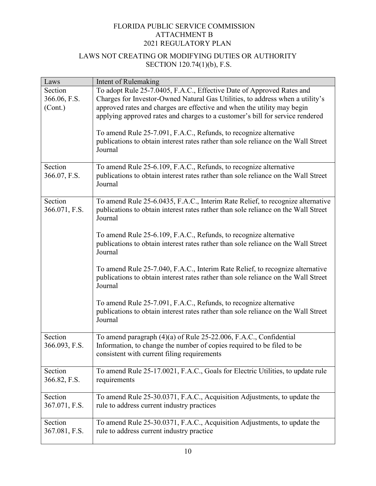| Laws          | Intent of Rulemaking                                                               |
|---------------|------------------------------------------------------------------------------------|
| Section       | To adopt Rule 25-7.0405, F.A.C., Effective Date of Approved Rates and              |
| 366.06, F.S.  | Charges for Investor-Owned Natural Gas Utilities, to address when a utility's      |
| (Cont.)       | approved rates and charges are effective and when the utility may begin            |
|               | applying approved rates and charges to a customer's bill for service rendered      |
|               |                                                                                    |
|               | To amend Rule 25-7.091, F.A.C., Refunds, to recognize alternative                  |
|               | publications to obtain interest rates rather than sole reliance on the Wall Street |
|               | Journal                                                                            |
|               |                                                                                    |
| Section       | To amend Rule 25-6.109, F.A.C., Refunds, to recognize alternative                  |
| 366.07, F.S.  | publications to obtain interest rates rather than sole reliance on the Wall Street |
|               | Journal                                                                            |
|               |                                                                                    |
| Section       | To amend Rule 25-6.0435, F.A.C., Interim Rate Relief, to recognize alternative     |
| 366.071, F.S. | publications to obtain interest rates rather than sole reliance on the Wall Street |
|               | Journal                                                                            |
|               |                                                                                    |
|               | To amend Rule 25-6.109, F.A.C., Refunds, to recognize alternative                  |
|               | publications to obtain interest rates rather than sole reliance on the Wall Street |
|               | Journal                                                                            |
|               |                                                                                    |
|               | To amend Rule 25-7.040, F.A.C., Interim Rate Relief, to recognize alternative      |
|               | publications to obtain interest rates rather than sole reliance on the Wall Street |
|               | Journal                                                                            |
|               |                                                                                    |
|               | To amend Rule 25-7.091, F.A.C., Refunds, to recognize alternative                  |
|               | publications to obtain interest rates rather than sole reliance on the Wall Street |
|               | Journal                                                                            |
|               |                                                                                    |
| Section       | To amend paragraph (4)(a) of Rule 25-22.006, F.A.C., Confidential                  |
| 366.093, F.S. | Information, to change the number of copies required to be filed to be             |
|               | consistent with current filing requirements                                        |
|               |                                                                                    |
| Section       | To amend Rule 25-17.0021, F.A.C., Goals for Electric Utilities, to update rule     |
| 366.82, F.S.  | requirements                                                                       |
|               |                                                                                    |
| Section       | To amend Rule 25-30.0371, F.A.C., Acquisition Adjustments, to update the           |
| 367.071, F.S. | rule to address current industry practices                                         |
|               |                                                                                    |
| Section       | To amend Rule 25-30.0371, F.A.C., Acquisition Adjustments, to update the           |
| 367.081, F.S. | rule to address current industry practice                                          |
|               |                                                                                    |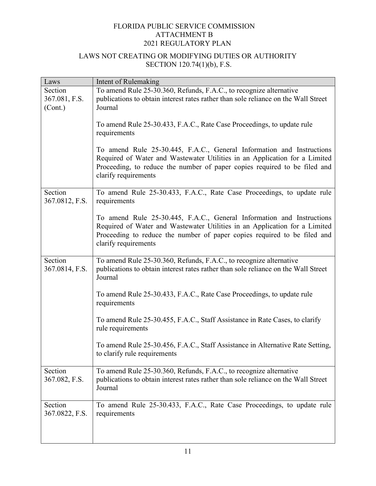| Laws           | Intent of Rulemaking                                                                             |
|----------------|--------------------------------------------------------------------------------------------------|
| Section        | To amend Rule 25-30.360, Refunds, F.A.C., to recognize alternative                               |
| 367.081, F.S.  | publications to obtain interest rates rather than sole reliance on the Wall Street               |
| (Cont.)        | Journal                                                                                          |
|                |                                                                                                  |
|                | To amend Rule 25-30.433, F.A.C., Rate Case Proceedings, to update rule                           |
|                | requirements                                                                                     |
|                |                                                                                                  |
|                | To amend Rule 25-30.445, F.A.C., General Information and Instructions                            |
|                | Required of Water and Wastewater Utilities in an Application for a Limited                       |
|                | Proceeding, to reduce the number of paper copies required to be filed and                        |
|                | clarify requirements                                                                             |
|                |                                                                                                  |
| Section        | To amend Rule 25-30.433, F.A.C., Rate Case Proceedings, to update rule                           |
| 367.0812, F.S. | requirements                                                                                     |
|                | To amend Rule 25-30.445, F.A.C., General Information and Instructions                            |
|                | Required of Water and Wastewater Utilities in an Application for a Limited                       |
|                | Proceeding to reduce the number of paper copies required to be filed and                         |
|                | clarify requirements                                                                             |
|                |                                                                                                  |
| Section        | To amend Rule 25-30.360, Refunds, F.A.C., to recognize alternative                               |
| 367.0814, F.S. | publications to obtain interest rates rather than sole reliance on the Wall Street               |
|                | Journal                                                                                          |
|                |                                                                                                  |
|                | To amend Rule 25-30.433, F.A.C., Rate Case Proceedings, to update rule                           |
|                | requirements                                                                                     |
|                |                                                                                                  |
|                | To amend Rule 25-30.455, F.A.C., Staff Assistance in Rate Cases, to clarify<br>rule requirements |
|                |                                                                                                  |
|                | To amend Rule 25-30.456, F.A.C., Staff Assistance in Alternative Rate Setting,                   |
|                | to clarify rule requirements                                                                     |
|                |                                                                                                  |
| Section        | To amend Rule 25-30.360, Refunds, F.A.C., to recognize alternative                               |
| 367.082, F.S.  | publications to obtain interest rates rather than sole reliance on the Wall Street               |
|                | Journal                                                                                          |
|                |                                                                                                  |
| Section        | To amend Rule 25-30.433, F.A.C., Rate Case Proceedings, to update rule                           |
| 367.0822, F.S. | requirements                                                                                     |
|                |                                                                                                  |
|                |                                                                                                  |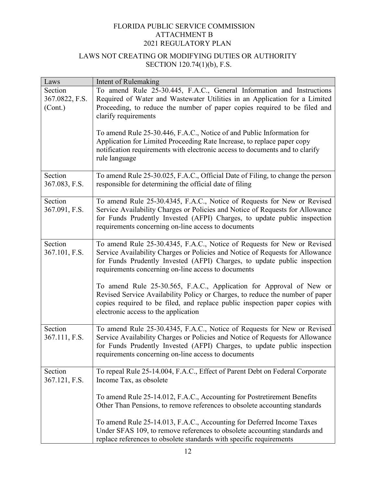| Laws           | Intent of Rulemaking                                                           |
|----------------|--------------------------------------------------------------------------------|
| Section        | To amend Rule 25-30.445, F.A.C., General Information and Instructions          |
| 367.0822, F.S. | Required of Water and Wastewater Utilities in an Application for a Limited     |
| (Cont.)        | Proceeding, to reduce the number of paper copies required to be filed and      |
|                | clarify requirements                                                           |
|                |                                                                                |
|                | To amend Rule 25-30.446, F.A.C., Notice of and Public Information for          |
|                | Application for Limited Proceeding Rate Increase, to replace paper copy        |
|                | notification requirements with electronic access to documents and to clarify   |
|                | rule language                                                                  |
|                |                                                                                |
| Section        | To amend Rule 25-30.025, F.A.C., Official Date of Filing, to change the person |
| 367.083, F.S.  | responsible for determining the official date of filing                        |
|                |                                                                                |
| Section        | To amend Rule 25-30.4345, F.A.C., Notice of Requests for New or Revised        |
| 367.091, F.S.  | Service Availability Charges or Policies and Notice of Requests for Allowance  |
|                | for Funds Prudently Invested (AFPI) Charges, to update public inspection       |
|                | requirements concerning on-line access to documents                            |
|                |                                                                                |
| Section        | To amend Rule 25-30.4345, F.A.C., Notice of Requests for New or Revised        |
| 367.101, F.S.  | Service Availability Charges or Policies and Notice of Requests for Allowance  |
|                | for Funds Prudently Invested (AFPI) Charges, to update public inspection       |
|                | requirements concerning on-line access to documents                            |
|                |                                                                                |
|                | To amend Rule 25-30.565, F.A.C., Application for Approval of New or            |
|                | Revised Service Availability Policy or Charges, to reduce the number of paper  |
|                | copies required to be filed, and replace public inspection paper copies with   |
|                | electronic access to the application                                           |
|                |                                                                                |
| Section        | To amend Rule 25-30.4345, F.A.C., Notice of Requests for New or Revised        |
| 367.111, F.S.  | Service Availability Charges or Policies and Notice of Requests for Allowance  |
|                | for Funds Prudently Invested (AFPI) Charges, to update public inspection       |
|                | requirements concerning on-line access to documents                            |
|                |                                                                                |
| Section        | To repeal Rule 25-14.004, F.A.C., Effect of Parent Debt on Federal Corporate   |
| 367.121, F.S.  | Income Tax, as obsolete                                                        |
|                |                                                                                |
|                | To amend Rule 25-14.012, F.A.C., Accounting for Postretirement Benefits        |
|                | Other Than Pensions, to remove references to obsolete accounting standards     |
|                |                                                                                |
|                | To amend Rule 25-14.013, F.A.C., Accounting for Deferred Income Taxes          |
|                | Under SFAS 109, to remove references to obsolete accounting standards and      |
|                | replace references to obsolete standards with specific requirements            |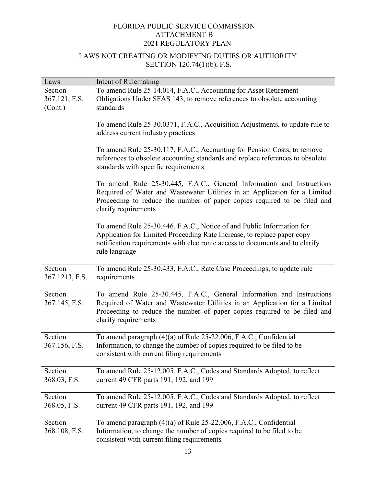| Laws                      | Intent of Rulemaking                                                                                                                                                                                                                                    |
|---------------------------|---------------------------------------------------------------------------------------------------------------------------------------------------------------------------------------------------------------------------------------------------------|
| Section                   | To amend Rule 25-14.014, F.A.C., Accounting for Asset Retirement                                                                                                                                                                                        |
| 367.121, F.S.             | Obligations Under SFAS 143, to remove references to obsolete accounting                                                                                                                                                                                 |
| (Cont.)                   | standards                                                                                                                                                                                                                                               |
|                           | To amend Rule 25-30.0371, F.A.C., Acquisition Adjustments, to update rule to<br>address current industry practices                                                                                                                                      |
|                           | To amend Rule 25-30.117, F.A.C., Accounting for Pension Costs, to remove<br>references to obsolete accounting standards and replace references to obsolete<br>standards with specific requirements                                                      |
|                           | To amend Rule 25-30.445, F.A.C., General Information and Instructions<br>Required of Water and Wastewater Utilities in an Application for a Limited<br>Proceeding to reduce the number of paper copies required to be filed and<br>clarify requirements |
|                           | To amend Rule 25-30.446, F.A.C., Notice of and Public Information for<br>Application for Limited Proceeding Rate Increase, to replace paper copy<br>notification requirements with electronic access to documents and to clarify<br>rule language       |
| Section<br>367.1213, F.S. | To amend Rule 25-30.433, F.A.C., Rate Case Proceedings, to update rule<br>requirements                                                                                                                                                                  |
| Section<br>367.145, F.S.  | To amend Rule 25-30.445, F.A.C., General Information and Instructions<br>Required of Water and Wastewater Utilities in an Application for a Limited<br>Proceeding to reduce the number of paper copies required to be filed and<br>clarify requirements |
| Section<br>367.156, F.S.  | To amend paragraph (4)(a) of Rule 25-22.006, F.A.C., Confidential<br>Information, to change the number of copies required to be filed to be<br>consistent with current filing requirements                                                              |
| Section<br>368.03, F.S.   | To amend Rule 25-12.005, F.A.C., Codes and Standards Adopted, to reflect<br>current 49 CFR parts 191, 192, and 199                                                                                                                                      |
| Section<br>368.05, F.S.   | To amend Rule 25-12.005, F.A.C., Codes and Standards Adopted, to reflect<br>current 49 CFR parts 191, 192, and 199                                                                                                                                      |
| Section<br>368.108, F.S.  | To amend paragraph (4)(a) of Rule 25-22.006, F.A.C., Confidential<br>Information, to change the number of copies required to be filed to be<br>consistent with current filing requirements                                                              |